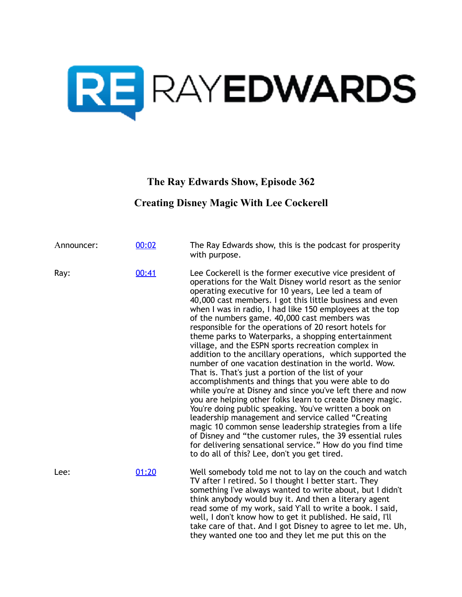

## **The Ray Edwards Show, Episode 362**

## **Creating Disney Magic With Lee Cockerell**

| Announcer: | 00:02 | The Ray Edwards show, this is the podcast for prosperity<br>with purpose.                                                                                                                                                                                                                                                                                                                                                                                                                                                                                                                                                                                                                                                                                                                                                                                                                                                                                                                                                                                                                                                                                                                                                                     |
|------------|-------|-----------------------------------------------------------------------------------------------------------------------------------------------------------------------------------------------------------------------------------------------------------------------------------------------------------------------------------------------------------------------------------------------------------------------------------------------------------------------------------------------------------------------------------------------------------------------------------------------------------------------------------------------------------------------------------------------------------------------------------------------------------------------------------------------------------------------------------------------------------------------------------------------------------------------------------------------------------------------------------------------------------------------------------------------------------------------------------------------------------------------------------------------------------------------------------------------------------------------------------------------|
| Ray:       | 00:41 | Lee Cockerell is the former executive vice president of<br>operations for the Walt Disney world resort as the senior<br>operating executive for 10 years, Lee led a team of<br>40,000 cast members. I got this little business and even<br>when I was in radio, I had like 150 employees at the top<br>of the numbers game. 40,000 cast members was<br>responsible for the operations of 20 resort hotels for<br>theme parks to Waterparks, a shopping entertainment<br>village, and the ESPN sports recreation complex in<br>addition to the ancillary operations, which supported the<br>number of one vacation destination in the world. Wow.<br>That is. That's just a portion of the list of your<br>accomplishments and things that you were able to do<br>while you're at Disney and since you've left there and now<br>you are helping other folks learn to create Disney magic.<br>You're doing public speaking. You've written a book on<br>leadership management and service called "Creating<br>magic 10 common sense leadership strategies from a life<br>of Disney and "the customer rules, the 39 essential rules<br>for delivering sensational service." How do you find time<br>to do all of this? Lee, don't you get tired. |
| Lee:       | 01:20 | Well somebody told me not to lay on the couch and watch<br>TV after I retired. So I thought I better start. They<br>something I've always wanted to write about, but I didn't<br>think anybody would buy it. And then a literary agent<br>read some of my work, said Y'all to write a book. I said,<br>well, I don't know how to get it published. He said, I'll<br>take care of that. And I got Disney to agree to let me. Uh,<br>they wanted one too and they let me put this on the                                                                                                                                                                                                                                                                                                                                                                                                                                                                                                                                                                                                                                                                                                                                                        |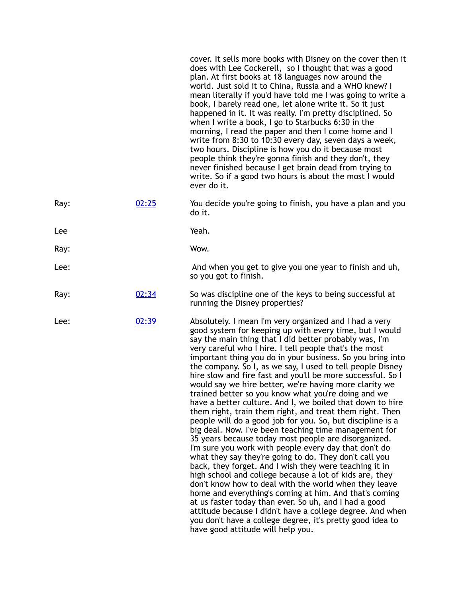cover. It sells more books with Disney on the cover then it does with Lee Cockerell, so I thought that was a good plan. At first books at 18 languages now around the world. Just sold it to China, Russia and a WHO knew? I mean literally if you'd have told me I was going to write a book, I barely read one, let alone write it. So it just happened in it. It was really. I'm pretty disciplined. So when I write a book, I go to Starbucks 6:30 in the morning, I read the paper and then I come home and I write from 8:30 to 10:30 every day, seven days a week, two hours. Discipline is how you do it because most people think they're gonna finish and they don't, they never finished because I get brain dead from trying to write. So if a good two hours is about the most I would ever do it.

Ray: [02:25](https://www.temi.com/editor/t/zRsxNf3zxmHr7yTfLnz9SCufIKNrCmMK2O04F0UHAOTINGr3o_qgrabDyWuIuA1i8oBJQkb1MoS3BE3HtsVeIHMHyag?loadFrom=DocumentDeeplink&ts=145.54) You decide you're going to finish, you have a plan and you do it.

Lee Yeah.

Ray: Wow.

Lee: and when you get to give you one year to finish and uh, so you got to finish.

Ray: [02:34](https://www.temi.com/editor/t/zRsxNf3zxmHr7yTfLnz9SCufIKNrCmMK2O04F0UHAOTINGr3o_qgrabDyWuIuA1i8oBJQkb1MoS3BE3HtsVeIHMHyag?loadFrom=DocumentDeeplink&ts=154.64) So was discipline one of the keys to being successful at running the Disney properties?

Lee: [02:39](https://www.temi.com/editor/t/zRsxNf3zxmHr7yTfLnz9SCufIKNrCmMK2O04F0UHAOTINGr3o_qgrabDyWuIuA1i8oBJQkb1MoS3BE3HtsVeIHMHyag?loadFrom=DocumentDeeplink&ts=159.09) Absolutely. I mean I'm very organized and I had a very good system for keeping up with every time, but I would say the main thing that I did better probably was, I'm very careful who I hire. I tell people that's the most important thing you do in your business. So you bring into the company. So I, as we say, I used to tell people Disney hire slow and fire fast and you'll be more successful. So I would say we hire better, we're having more clarity we trained better so you know what you're doing and we have a better culture. And I, we boiled that down to hire them right, train them right, and treat them right. Then people will do a good job for you. So, but discipline is a big deal. Now. I've been teaching time management for 35 years because today most people are disorganized. I'm sure you work with people every day that don't do what they say they're going to do. They don't call you back, they forget. And I wish they were teaching it in high school and college because a lot of kids are, they don't know how to deal with the world when they leave home and everything's coming at him. And that's coming at us faster today than ever. So uh, and I had a good attitude because I didn't have a college degree. And when you don't have a college degree, it's pretty good idea to have good attitude will help you.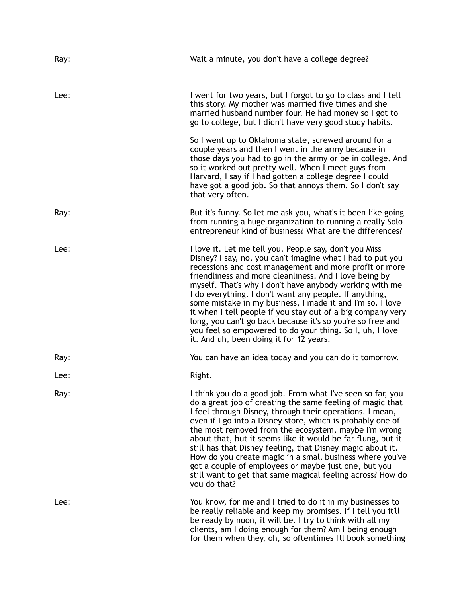| Ray: | Wait a minute, you don't have a college degree?                                                                                                                                                                                                                                                                                                                                                                                                                                                                                                                                                                                                                |
|------|----------------------------------------------------------------------------------------------------------------------------------------------------------------------------------------------------------------------------------------------------------------------------------------------------------------------------------------------------------------------------------------------------------------------------------------------------------------------------------------------------------------------------------------------------------------------------------------------------------------------------------------------------------------|
| Lee: | I went for two years, but I forgot to go to class and I tell<br>this story. My mother was married five times and she<br>married husband number four. He had money so I got to<br>go to college, but I didn't have very good study habits.                                                                                                                                                                                                                                                                                                                                                                                                                      |
|      | So I went up to Oklahoma state, screwed around for a<br>couple years and then I went in the army because in<br>those days you had to go in the army or be in college. And<br>so it worked out pretty well. When I meet guys from<br>Harvard, I say if I had gotten a college degree I could<br>have got a good job. So that annoys them. So I don't say<br>that very often.                                                                                                                                                                                                                                                                                    |
| Ray: | But it's funny. So let me ask you, what's it been like going<br>from running a huge organization to running a really Solo<br>entrepreneur kind of business? What are the differences?                                                                                                                                                                                                                                                                                                                                                                                                                                                                          |
| Lee: | I love it. Let me tell you. People say, don't you Miss<br>Disney? I say, no, you can't imagine what I had to put you<br>recessions and cost management and more profit or more<br>friendliness and more cleanliness. And I love being by<br>myself. That's why I don't have anybody working with me<br>I do everything. I don't want any people. If anything,<br>some mistake in my business, I made it and I'm so. I love<br>it when I tell people if you stay out of a big company very<br>long, you can't go back because it's so you're so free and<br>you feel so empowered to do your thing. So I, uh, I love<br>it. And uh, been doing it for 12 years. |
| Ray: | You can have an idea today and you can do it tomorrow.                                                                                                                                                                                                                                                                                                                                                                                                                                                                                                                                                                                                         |
| Lee: | Right.                                                                                                                                                                                                                                                                                                                                                                                                                                                                                                                                                                                                                                                         |
| Ray: | I think you do a good job. From what I've seen so far, you<br>do a great job of creating the same feeling of magic that<br>I feel through Disney, through their operations. I mean,<br>even if I go into a Disney store, which is probably one of<br>the most removed from the ecosystem, maybe I'm wrong<br>about that, but it seems like it would be far flung, but it<br>still has that Disney feeling, that Disney magic about it.<br>How do you create magic in a small business where you've<br>got a couple of employees or maybe just one, but you<br>still want to get that same magical feeling across? How do<br>you do that?                       |
| Lee: | You know, for me and I tried to do it in my businesses to<br>be really reliable and keep my promises. If I tell you it'll<br>be ready by noon, it will be. I try to think with all my<br>clients, am I doing enough for them? Am I being enough<br>for them when they, oh, so oftentimes I'll book something                                                                                                                                                                                                                                                                                                                                                   |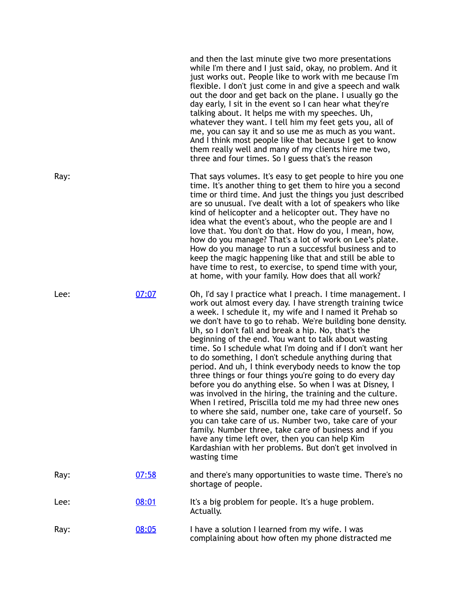|      |       | and then the last minute give two more presentations<br>while I'm there and I just said, okay, no problem. And it<br>just works out. People like to work with me because I'm<br>flexible. I don't just come in and give a speech and walk<br>out the door and get back on the plane. I usually go the<br>day early, I sit in the event so I can hear what they're<br>talking about. It helps me with my speeches. Uh,<br>whatever they want. I tell him my feet gets you, all of<br>me, you can say it and so use me as much as you want.<br>And I think most people like that because I get to know<br>them really well and many of my clients hire me two,<br>three and four times. So I guess that's the reason                                                                                                                                                                                                                                                                                                                                                                                             |
|------|-------|----------------------------------------------------------------------------------------------------------------------------------------------------------------------------------------------------------------------------------------------------------------------------------------------------------------------------------------------------------------------------------------------------------------------------------------------------------------------------------------------------------------------------------------------------------------------------------------------------------------------------------------------------------------------------------------------------------------------------------------------------------------------------------------------------------------------------------------------------------------------------------------------------------------------------------------------------------------------------------------------------------------------------------------------------------------------------------------------------------------|
| Ray: |       | That says volumes. It's easy to get people to hire you one<br>time. It's another thing to get them to hire you a second<br>time or third time. And just the things you just described<br>are so unusual. I've dealt with a lot of speakers who like<br>kind of helicopter and a helicopter out. They have no<br>idea what the event's about, who the people are and I<br>love that. You don't do that. How do you, I mean, how,<br>how do you manage? That's a lot of work on Lee's plate.<br>How do you manage to run a successful business and to<br>keep the magic happening like that and still be able to<br>have time to rest, to exercise, to spend time with your,<br>at home, with your family. How does that all work?                                                                                                                                                                                                                                                                                                                                                                               |
| Lee: | 07:07 | Oh, I'd say I practice what I preach. I time management. I<br>work out almost every day. I have strength training twice<br>a week. I schedule it, my wife and I named it Prehab so<br>we don't have to go to rehab. We're building bone density.<br>Uh, so I don't fall and break a hip. No, that's the<br>beginning of the end. You want to talk about wasting<br>time. So I schedule what I'm doing and if I don't want her<br>to do something, I don't schedule anything during that<br>period. And uh, I think everybody needs to know the top<br>three things or four things you're going to do every day<br>before you do anything else. So when I was at Disney, I<br>was involved in the hiring, the training and the culture.<br>When I retired, Priscilla told me my had three new ones<br>to where she said, number one, take care of yourself. So<br>you can take care of us. Number two, take care of your<br>family. Number three, take care of business and if you<br>have any time left over, then you can help Kim<br>Kardashian with her problems. But don't get involved in<br>wasting time |
| Ray: | 07:58 | and there's many opportunities to waste time. There's no<br>shortage of people.                                                                                                                                                                                                                                                                                                                                                                                                                                                                                                                                                                                                                                                                                                                                                                                                                                                                                                                                                                                                                                |
| Lee: | 08:01 | It's a big problem for people. It's a huge problem.<br>Actually.                                                                                                                                                                                                                                                                                                                                                                                                                                                                                                                                                                                                                                                                                                                                                                                                                                                                                                                                                                                                                                               |
| Ray: | 08:05 | I have a solution I learned from my wife. I was<br>complaining about how often my phone distracted me                                                                                                                                                                                                                                                                                                                                                                                                                                                                                                                                                                                                                                                                                                                                                                                                                                                                                                                                                                                                          |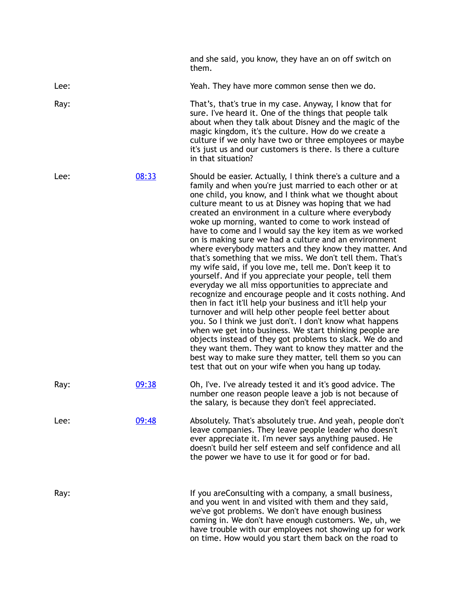|      |       | and she said, you know, they have an on off switch on<br>them.                                                                                                                                                                                                                                                                                                                                                                                                                                                                                                                                                                                                                                                                                                                                                                                                                                                                                                                                                                                                                                                                                                                                                                                                                                                              |
|------|-------|-----------------------------------------------------------------------------------------------------------------------------------------------------------------------------------------------------------------------------------------------------------------------------------------------------------------------------------------------------------------------------------------------------------------------------------------------------------------------------------------------------------------------------------------------------------------------------------------------------------------------------------------------------------------------------------------------------------------------------------------------------------------------------------------------------------------------------------------------------------------------------------------------------------------------------------------------------------------------------------------------------------------------------------------------------------------------------------------------------------------------------------------------------------------------------------------------------------------------------------------------------------------------------------------------------------------------------|
| Lee: |       | Yeah. They have more common sense then we do.                                                                                                                                                                                                                                                                                                                                                                                                                                                                                                                                                                                                                                                                                                                                                                                                                                                                                                                                                                                                                                                                                                                                                                                                                                                                               |
| Ray: |       | That's, that's true in my case. Anyway, I know that for<br>sure. I've heard it. One of the things that people talk<br>about when they talk about Disney and the magic of the<br>magic kingdom, it's the culture. How do we create a<br>culture if we only have two or three employees or maybe<br>it's just us and our customers is there. Is there a culture<br>in that situation?                                                                                                                                                                                                                                                                                                                                                                                                                                                                                                                                                                                                                                                                                                                                                                                                                                                                                                                                         |
| Lee: | 08:33 | Should be easier. Actually, I think there's a culture and a<br>family and when you're just married to each other or at<br>one child, you know, and I think what we thought about<br>culture meant to us at Disney was hoping that we had<br>created an environment in a culture where everybody<br>woke up morning, wanted to come to work instead of<br>have to come and I would say the key item as we worked<br>on is making sure we had a culture and an environment<br>where everybody matters and they know they matter. And<br>that's something that we miss. We don't tell them. That's<br>my wife said, if you love me, tell me. Don't keep it to<br>yourself. And if you appreciate your people, tell them<br>everyday we all miss opportunities to appreciate and<br>recognize and encourage people and it costs nothing. And<br>then in fact it'll help your business and it'll help your<br>turnover and will help other people feel better about<br>you. So I think we just don't. I don't know what happens<br>when we get into business. We start thinking people are<br>objects instead of they got problems to slack. We do and<br>they want them. They want to know they matter and the<br>best way to make sure they matter, tell them so you can<br>test that out on your wife when you hang up today. |
| Ray: | 09:38 | Oh, I've. I've already tested it and it's good advice. The<br>number one reason people leave a job is not because of<br>the salary, is because they don't feel appreciated.                                                                                                                                                                                                                                                                                                                                                                                                                                                                                                                                                                                                                                                                                                                                                                                                                                                                                                                                                                                                                                                                                                                                                 |
| Lee: | 09:48 | Absolutely. That's absolutely true. And yeah, people don't<br>leave companies. They leave people leader who doesn't<br>ever appreciate it. I'm never says anything paused. He<br>doesn't build her self esteem and self confidence and all<br>the power we have to use it for good or for bad.                                                                                                                                                                                                                                                                                                                                                                                                                                                                                                                                                                                                                                                                                                                                                                                                                                                                                                                                                                                                                              |
| Ray: |       | If you are Consulting with a company, a small business,<br>and you went in and visited with them and they said,<br>we've got problems. We don't have enough business<br>coming in. We don't have enough customers. We, uh, we<br>have trouble with our employees not showing up for work<br>on time. How would you start them back on the road to                                                                                                                                                                                                                                                                                                                                                                                                                                                                                                                                                                                                                                                                                                                                                                                                                                                                                                                                                                           |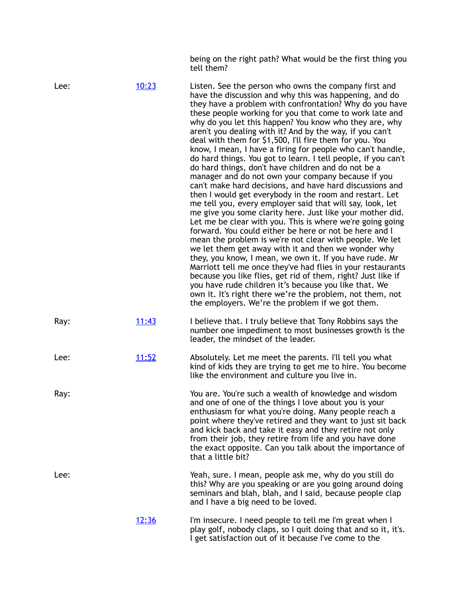being on the right path? What would be the first thing you tell them?

| Lee: | 10:23        | Listen. See the person who owns the company first and<br>have the discussion and why this was happening, and do<br>they have a problem with confrontation? Why do you have<br>these people working for you that come to work late and<br>why do you let this happen? You know who they are, why<br>aren't you dealing with it? And by the way, if you can't<br>deal with them for \$1,500, I'll fire them for you. You<br>know, I mean, I have a firing for people who can't handle,<br>do hard things. You got to learn. I tell people, if you can't<br>do hard things, don't have children and do not be a<br>manager and do not own your company because if you<br>can't make hard decisions, and have hard discussions and<br>then I would get everybody in the room and restart. Let<br>me tell you, every employer said that will say, look, let<br>me give you some clarity here. Just like your mother did.<br>Let me be clear with you. This is where we're going going<br>forward. You could either be here or not be here and I<br>mean the problem is we're not clear with people. We let<br>we let them get away with it and then we wonder why<br>they, you know, I mean, we own it. If you have rude. Mr<br>Marriott tell me once they've had flies in your restaurants<br>because you like flies, get rid of them, right? Just like if<br>you have rude children it's because you like that. We<br>own it. It's right there we're the problem, not them, not<br>the employers. We're the problem if we got them. |
|------|--------------|----------------------------------------------------------------------------------------------------------------------------------------------------------------------------------------------------------------------------------------------------------------------------------------------------------------------------------------------------------------------------------------------------------------------------------------------------------------------------------------------------------------------------------------------------------------------------------------------------------------------------------------------------------------------------------------------------------------------------------------------------------------------------------------------------------------------------------------------------------------------------------------------------------------------------------------------------------------------------------------------------------------------------------------------------------------------------------------------------------------------------------------------------------------------------------------------------------------------------------------------------------------------------------------------------------------------------------------------------------------------------------------------------------------------------------------------------------------------------------------------------------------------------------|
| Ray: | <u>11:43</u> | I believe that. I truly believe that Tony Robbins says the<br>number one impediment to most businesses growth is the<br>leader, the mindset of the leader.                                                                                                                                                                                                                                                                                                                                                                                                                                                                                                                                                                                                                                                                                                                                                                                                                                                                                                                                                                                                                                                                                                                                                                                                                                                                                                                                                                       |
| Lee: | 11:52        | Absolutely. Let me meet the parents. I'll tell you what<br>kind of kids they are trying to get me to hire. You become<br>like the environment and culture you live in.                                                                                                                                                                                                                                                                                                                                                                                                                                                                                                                                                                                                                                                                                                                                                                                                                                                                                                                                                                                                                                                                                                                                                                                                                                                                                                                                                           |
| Ray: |              | You are. You're such a wealth of knowledge and wisdom<br>and one of one of the things I love about you is your<br>enthusiasm for what you're doing. Many people reach a<br>point where they've retired and they want to just sit back<br>and kick back and take it easy and they retire not only<br>from their job, they retire from life and you have done<br>the exact opposite. Can you talk about the importance of<br>that a little bit?                                                                                                                                                                                                                                                                                                                                                                                                                                                                                                                                                                                                                                                                                                                                                                                                                                                                                                                                                                                                                                                                                    |
| Lee: |              | Yeah, sure. I mean, people ask me, why do you still do<br>this? Why are you speaking or are you going around doing<br>seminars and blah, blah, and I said, because people clap<br>and I have a big need to be loved.                                                                                                                                                                                                                                                                                                                                                                                                                                                                                                                                                                                                                                                                                                                                                                                                                                                                                                                                                                                                                                                                                                                                                                                                                                                                                                             |
|      | <u>12:36</u> | I'm insecure. I need people to tell me I'm great when I<br>play golf, nobody claps, so I quit doing that and so it, it's.                                                                                                                                                                                                                                                                                                                                                                                                                                                                                                                                                                                                                                                                                                                                                                                                                                                                                                                                                                                                                                                                                                                                                                                                                                                                                                                                                                                                        |

I get satisfaction out of it because I've come to the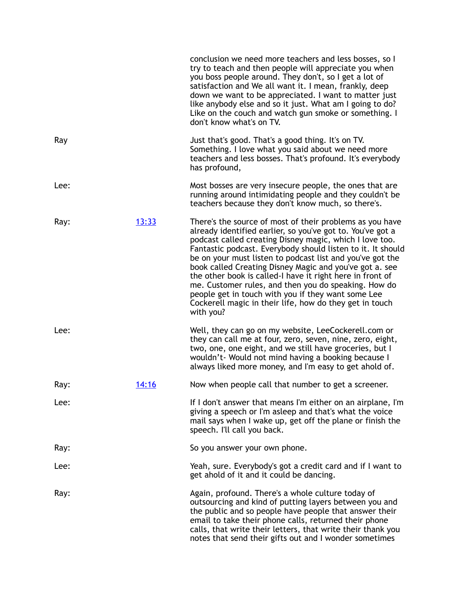|      |              | conclusion we need more teachers and less bosses, so I<br>try to teach and then people will appreciate you when<br>you boss people around. They don't, so I get a lot of<br>satisfaction and We all want it. I mean, frankly, deep<br>down we want to be appreciated. I want to matter just<br>like anybody else and so it just. What am I going to do?<br>Like on the couch and watch gun smoke or something. I<br>don't know what's on TV.                                                                                                                                                                                |
|------|--------------|-----------------------------------------------------------------------------------------------------------------------------------------------------------------------------------------------------------------------------------------------------------------------------------------------------------------------------------------------------------------------------------------------------------------------------------------------------------------------------------------------------------------------------------------------------------------------------------------------------------------------------|
| Ray  |              | Just that's good. That's a good thing. It's on TV.<br>Something. I love what you said about we need more<br>teachers and less bosses. That's profound. It's everybody<br>has profound,                                                                                                                                                                                                                                                                                                                                                                                                                                      |
| Lee: |              | Most bosses are very insecure people, the ones that are<br>running around intimidating people and they couldn't be<br>teachers because they don't know much, so there's.                                                                                                                                                                                                                                                                                                                                                                                                                                                    |
| Ray: | <u>13:33</u> | There's the source of most of their problems as you have<br>already identified earlier, so you've got to. You've got a<br>podcast called creating Disney magic, which I love too.<br>Fantastic podcast. Everybody should listen to it. It should<br>be on your must listen to podcast list and you've got the<br>book called Creating Disney Magic and you've got a. see<br>the other book is called-I have it right here in front of<br>me. Customer rules, and then you do speaking. How do<br>people get in touch with you if they want some Lee<br>Cockerell magic in their life, how do they get in touch<br>with you? |
| Lee: |              | Well, they can go on my website, LeeCockerell.com or<br>they can call me at four, zero, seven, nine, zero, eight,<br>two, one, one eight, and we still have groceries, but I<br>wouldn't- Would not mind having a booking because I<br>always liked more money, and I'm easy to get ahold of.                                                                                                                                                                                                                                                                                                                               |
| Ray: | <u>14:16</u> | Now when people call that number to get a screener.                                                                                                                                                                                                                                                                                                                                                                                                                                                                                                                                                                         |
| Lee: |              | If I don't answer that means I'm either on an airplane, I'm<br>giving a speech or I'm asleep and that's what the voice<br>mail says when I wake up, get off the plane or finish the<br>speech. I'll call you back.                                                                                                                                                                                                                                                                                                                                                                                                          |
| Ray: |              | So you answer your own phone.                                                                                                                                                                                                                                                                                                                                                                                                                                                                                                                                                                                               |
| Lee: |              | Yeah, sure. Everybody's got a credit card and if I want to<br>get ahold of it and it could be dancing.                                                                                                                                                                                                                                                                                                                                                                                                                                                                                                                      |
| Ray: |              | Again, profound. There's a whole culture today of<br>outsourcing and kind of putting layers between you and<br>the public and so people have people that answer their<br>email to take their phone calls, returned their phone<br>calls, that write their letters, that write their thank you<br>notes that send their gifts out and I wonder sometimes                                                                                                                                                                                                                                                                     |